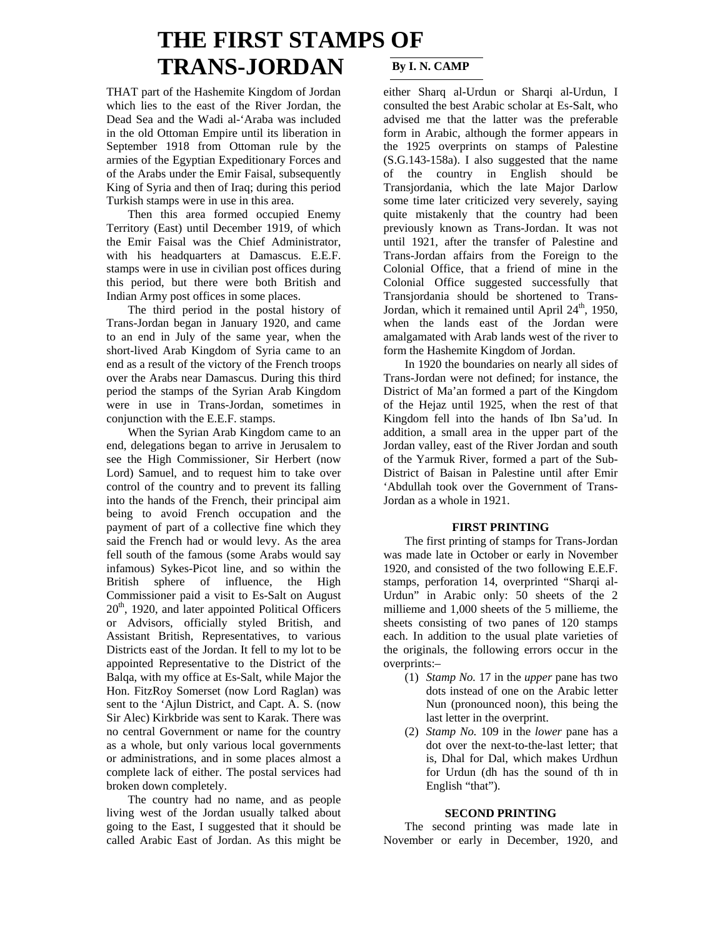# **THE FIRST STAMPS OF TRANS-JORDAN** By I. N. CAMP

THAT part of the Hashemite Kingdom of Jordan which lies to the east of the River Jordan, the Dead Sea and the Wadi al-'Araba was included in the old Ottoman Empire until its liberation in September 1918 from Ottoman rule by the armies of the Egyptian Expeditionary Forces and of the Arabs under the Emir Faisal, subsequently King of Syria and then of Iraq; during this period Turkish stamps were in use in this area.

 Then this area formed occupied Enemy Territory (East) until December 1919, of which the Emir Faisal was the Chief Administrator, with his headquarters at Damascus. E.E.F. stamps were in use in civilian post offices during this period, but there were both British and Indian Army post offices in some places.

 The third period in the postal history of Trans-Jordan began in January 1920, and came to an end in July of the same year, when the short-lived Arab Kingdom of Syria came to an end as a result of the victory of the French troops over the Arabs near Damascus. During this third period the stamps of the Syrian Arab Kingdom were in use in Trans-Jordan, sometimes in conjunction with the E.E.F. stamps.

 When the Syrian Arab Kingdom came to an end, delegations began to arrive in Jerusalem to see the High Commissioner, Sir Herbert (now Lord) Samuel, and to request him to take over control of the country and to prevent its falling into the hands of the French, their principal aim being to avoid French occupation and the payment of part of a collective fine which they said the French had or would levy. As the area fell south of the famous (some Arabs would say infamous) Sykes-Picot line, and so within the British sphere of influence, the High Commissioner paid a visit to Es-Salt on August  $20<sup>th</sup>$ , 1920, and later appointed Political Officers or Advisors, officially styled British, and Assistant British, Representatives, to various Districts east of the Jordan. It fell to my lot to be appointed Representative to the District of the Balqa, with my office at Es-Salt, while Major the Hon. FitzRoy Somerset (now Lord Raglan) was sent to the 'Ajlun District, and Capt. A. S. (now Sir Alec) Kirkbride was sent to Karak. There was no central Government or name for the country as a whole, but only various local governments or administrations, and in some places almost a complete lack of either. The postal services had broken down completely.

 The country had no name, and as people living west of the Jordan usually talked about going to the East, I suggested that it should be called Arabic East of Jordan. As this might be

either Sharq al-Urdun or Sharqi al-Urdun, I consulted the best Arabic scholar at Es-Salt, who advised me that the latter was the preferable form in Arabic, although the former appears in the 1925 overprints on stamps of Palestine (S.G.143-158a). I also suggested that the name of the country in English should be Transjordania, which the late Major Darlow some time later criticized very severely, saying quite mistakenly that the country had been previously known as Trans-Jordan. It was not until 1921, after the transfer of Palestine and Trans-Jordan affairs from the Foreign to the Colonial Office, that a friend of mine in the Colonial Office suggested successfully that Transjordania should be shortened to Trans-Jordan, which it remained until April  $24<sup>th</sup>$ , 1950, when the lands east of the Jordan were amalgamated with Arab lands west of the river to form the Hashemite Kingdom of Jordan.

 In 1920 the boundaries on nearly all sides of Trans-Jordan were not defined; for instance, the District of Ma'an formed a part of the Kingdom of the Hejaz until 1925, when the rest of that Kingdom fell into the hands of Ibn Sa'ud. In addition, a small area in the upper part of the Jordan valley, east of the River Jordan and south of the Yarmuk River, formed a part of the Sub-District of Baisan in Palestine until after Emir 'Abdullah took over the Government of Trans-Jordan as a whole in 1921.

## **FIRST PRINTING**

 The first printing of stamps for Trans-Jordan was made late in October or early in November 1920, and consisted of the two following E.E.F. stamps, perforation 14, overprinted "Sharqi al-Urdun" in Arabic only: 50 sheets of the 2 millieme and 1,000 sheets of the 5 millieme, the sheets consisting of two panes of 120 stamps each. In addition to the usual plate varieties of the originals, the following errors occur in the overprints:–

- (1) *Stamp No.* 17 in the *upper* pane has two dots instead of one on the Arabic letter Nun (pronounced noon), this being the last letter in the overprint.
- (2) *Stamp No.* 109 in the *lower* pane has a dot over the next-to-the-last letter; that is, Dhal for Dal, which makes Urdhun for Urdun (dh has the sound of th in English "that").

## **SECOND PRINTING**

 The second printing was made late in November or early in December, 1920, and